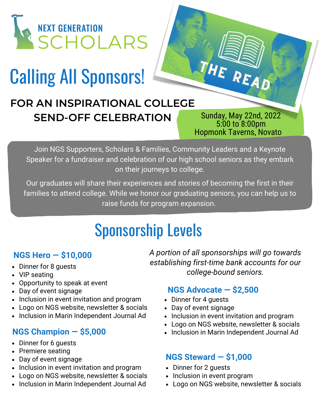

# Calling All Sponsors!

### **FOR AN INSPIRATIONAL COLLEGE SEND-OFF CELEBRATION**

Sunday, May 22nd, 2022 5:00 to 8:00pm Hopmonk Taverns, Novato

HE READ

Join NGS Supporters, Scholars & Families, Community Leaders and a Keynote Speaker for a fundraiser and celebration of our high school seniors as they embark on their journeys to college.

Our graduates will share their experiences and stories of becoming the first in their families to attend college. While we honor our graduating seniors, you can help us to raise funds for program expansion.

### Sponsorship Levels

#### **NGS Hero — \$10,000**

- Dinner for 8 guests
- VIP seating
- Opportunity to speak at event
- Day of event signage
- Inclusion in event invitation and program
- Logo on NGS website, newsletter & socials
- Inclusion in Marin Independent Journal Ad

#### **NGS Champion — \$5,000**

- Dinner for 6 guests
- Premiere seating
- Day of event signage
- Inclusion in event invitation and program
- Logo on NGS website, newsletter & socials
- Inclusion in Marin Independent Journal Ad

*A portion of all sponsorships will go towards establishing first-time bank accounts for our college-bound seniors.*

#### **NGS Advocate — \$2,500**

- Dinner for 4 guests
- Day of event signage
- Inclusion in event invitation and program
- Logo on NGS website, newsletter & socials
- Inclusion in Marin Independent Journal Ad

#### **NGS Steward — \$1,000**

- Dinner for 2 quests
- Inclusion in event program
- Logo on NGS website, newsletter & socials